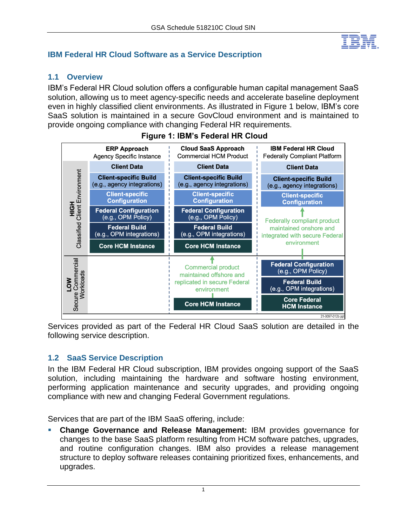

## **IBM Federal HR Cloud Software as a Service Description**

## **1.1 Overview**

IBM's Federal HR Cloud solution offers a configurable human capital management SaaS solution, allowing us to meet agency-specific needs and accelerate baseline deployment even in highly classified client environments. As illustrated in Figure 1 below, IBM's core SaaS solution is maintained in a secure GovCloud environment and is maintained to provide ongoing compliance with changing Federal HR requirements.



## **Figure 1: IBM's Federal HR Cloud**

Services provided as part of the Federal HR Cloud SaaS solution are detailed in the following service description.

## **1.2 SaaS Service Description**

In the IBM Federal HR Cloud subscription, IBM provides ongoing support of the SaaS solution, including maintaining the hardware and software hosting environment, performing application maintenance and security upgrades, and providing ongoing compliance with new and changing Federal Government regulations.

Services that are part of the IBM SaaS offering, include:

▪ **Change Governance and Release Management:** IBM provides governance for changes to the base SaaS platform resulting from HCM software patches, upgrades, and routine configuration changes. IBM also provides a release management structure to deploy software releases containing prioritized fixes, enhancements, and upgrades.